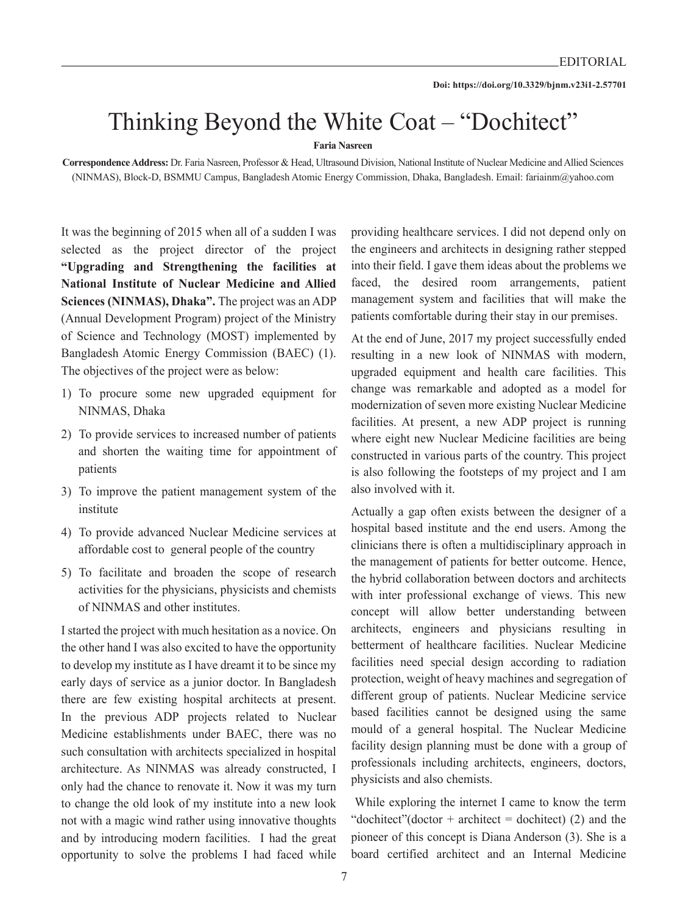## Thinking Beyond the White Coat – "Dochitect"

**Faria Nasreen**

**Correspondence Address:** Dr. Faria Nasreen, Professor & Head, Ultrasound Division, National Institute of Nuclear Medicine and Allied Sciences (NINMAS), Block-D, BSMMU Campus, Bangladesh Atomic Energy Commission, Dhaka, Bangladesh. Email: fariainm@yahoo.com

It was the beginning of 2015 when all of a sudden I was selected as the project director of the project **"Upgrading and Strengthening the facilities at National Institute of Nuclear Medicine and Allied Sciences (NINMAS), Dhaka".** The project was an ADP (Annual Development Program) project of the Ministry of Science and Technology (MOST) implemented by Bangladesh Atomic Energy Commission (BAEC) (1). The objectives of the project were as below:

- 1) To procure some new upgraded equipment for NINMAS, Dhaka
- 2) To provide services to increased number of patients and shorten the waiting time for appointment of patients
- 3) To improve the patient management system of the institute
- 4) To provide advanced Nuclear Medicine services at affordable cost to general people of the country
- 5) To facilitate and broaden the scope of research activities for the physicians, physicists and chemists of NINMAS and other institutes.

I started the project with much hesitation as a novice. On the other hand I was also excited to have the opportunity to develop my institute as I have dreamt it to be since my early days of service as a junior doctor. In Bangladesh there are few existing hospital architects at present. In the previous ADP projects related to Nuclear Medicine establishments under BAEC, there was no such consultation with architects specialized in hospital architecture. As NINMAS was already constructed, I only had the chance to renovate it. Now it was my turn to change the old look of my institute into a new look not with a magic wind rather using innovative thoughts and by introducing modern facilities. I had the great opportunity to solve the problems I had faced while

providing healthcare services. I did not depend only on the engineers and architects in designing rather stepped into their field. I gave them ideas about the problems we faced, the desired room arrangements, patient management system and facilities that will make the patients comfortable during their stay in our premises.

At the end of June, 2017 my project successfully ended resulting in a new look of NINMAS with modern, upgraded equipment and health care facilities. This change was remarkable and adopted as a model for modernization of seven more existing Nuclear Medicine facilities. At present, a new ADP project is running where eight new Nuclear Medicine facilities are being constructed in various parts of the country. This project is also following the footsteps of my project and I am also involved with it.

Actually a gap often exists between the designer of a hospital based institute and the end users. Among the clinicians there is often a multidisciplinary approach in the management of patients for better outcome. Hence, the hybrid collaboration between doctors and architects with inter professional exchange of views. This new concept will allow better understanding between architects, engineers and physicians resulting in betterment of healthcare facilities. Nuclear Medicine facilities need special design according to radiation protection, weight of heavy machines and segregation of different group of patients. Nuclear Medicine service based facilities cannot be designed using the same mould of a general hospital. The Nuclear Medicine facility design planning must be done with a group of professionals including architects, engineers, doctors, physicists and also chemists.

 While exploring the internet I came to know the term "dochitect"(doctor + architect = dochitect) (2) and the pioneer of this concept is Diana Anderson (3). She is a board certified architect and an Internal Medicine